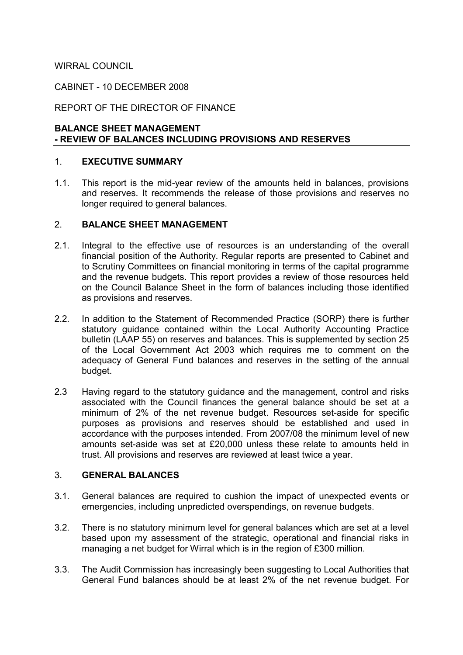## WIRRAL COUNCIL

CABINET - 10 DECEMBER 2008

## REPORT OF THE DIRECTOR OF FINANCE

# BALANCE SHEET MANAGEMENT - REVIEW OF BALANCES INCLUDING PROVISIONS AND RESERVES

## 1. EXECUTIVE SUMMARY

1.1. This report is the mid-year review of the amounts held in balances, provisions and reserves. It recommends the release of those provisions and reserves no longer required to general balances.

## 2. BALANCE SHEET MANAGEMENT

- 2.1. Integral to the effective use of resources is an understanding of the overall financial position of the Authority. Regular reports are presented to Cabinet and to Scrutiny Committees on financial monitoring in terms of the capital programme and the revenue budgets. This report provides a review of those resources held on the Council Balance Sheet in the form of balances including those identified as provisions and reserves.
- 2.2. In addition to the Statement of Recommended Practice (SORP) there is further statutory guidance contained within the Local Authority Accounting Practice bulletin (LAAP 55) on reserves and balances. This is supplemented by section 25 of the Local Government Act 2003 which requires me to comment on the adequacy of General Fund balances and reserves in the setting of the annual budget.
- 2.3 Having regard to the statutory guidance and the management, control and risks associated with the Council finances the general balance should be set at a minimum of 2% of the net revenue budget. Resources set-aside for specific purposes as provisions and reserves should be established and used in accordance with the purposes intended. From 2007/08 the minimum level of new amounts set-aside was set at £20,000 unless these relate to amounts held in trust. All provisions and reserves are reviewed at least twice a year.

# 3. GENERAL BALANCES

- 3.1. General balances are required to cushion the impact of unexpected events or emergencies, including unpredicted overspendings, on revenue budgets.
- 3.2. There is no statutory minimum level for general balances which are set at a level based upon my assessment of the strategic, operational and financial risks in managing a net budget for Wirral which is in the region of £300 million.
- 3.3. The Audit Commission has increasingly been suggesting to Local Authorities that General Fund balances should be at least 2% of the net revenue budget. For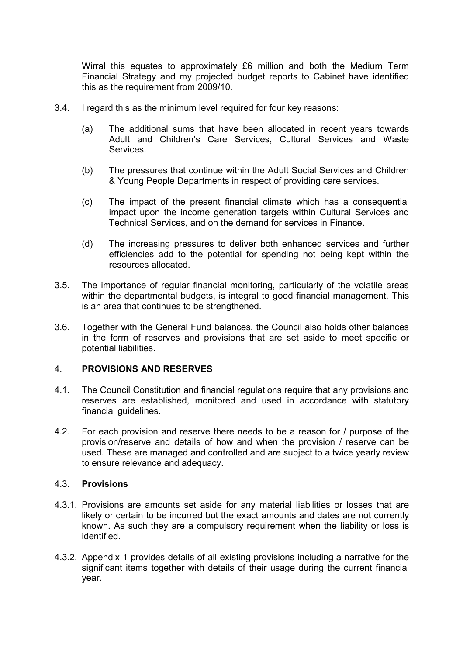Wirral this equates to approximately £6 million and both the Medium Term Financial Strategy and my projected budget reports to Cabinet have identified this as the requirement from 2009/10.

- 3.4. I regard this as the minimum level required for four key reasons:
	- (a) The additional sums that have been allocated in recent years towards Adult and Children's Care Services, Cultural Services and Waste Services.
	- (b) The pressures that continue within the Adult Social Services and Children & Young People Departments in respect of providing care services.
	- (c) The impact of the present financial climate which has a consequential impact upon the income generation targets within Cultural Services and Technical Services, and on the demand for services in Finance.
	- (d) The increasing pressures to deliver both enhanced services and further efficiencies add to the potential for spending not being kept within the resources allocated.
- 3.5. The importance of regular financial monitoring, particularly of the volatile areas within the departmental budgets, is integral to good financial management. This is an area that continues to be strengthened.
- 3.6. Together with the General Fund balances, the Council also holds other balances in the form of reserves and provisions that are set aside to meet specific or potential liabilities.

## 4. PROVISIONS AND RESERVES

- 4.1. The Council Constitution and financial regulations require that any provisions and reserves are established, monitored and used in accordance with statutory financial guidelines.
- 4.2. For each provision and reserve there needs to be a reason for / purpose of the provision/reserve and details of how and when the provision / reserve can be used. These are managed and controlled and are subject to a twice yearly review to ensure relevance and adequacy.

## 4.3. Provisions

- 4.3.1. Provisions are amounts set aside for any material liabilities or losses that are likely or certain to be incurred but the exact amounts and dates are not currently known. As such they are a compulsory requirement when the liability or loss is identified.
- 4.3.2. Appendix 1 provides details of all existing provisions including a narrative for the significant items together with details of their usage during the current financial year.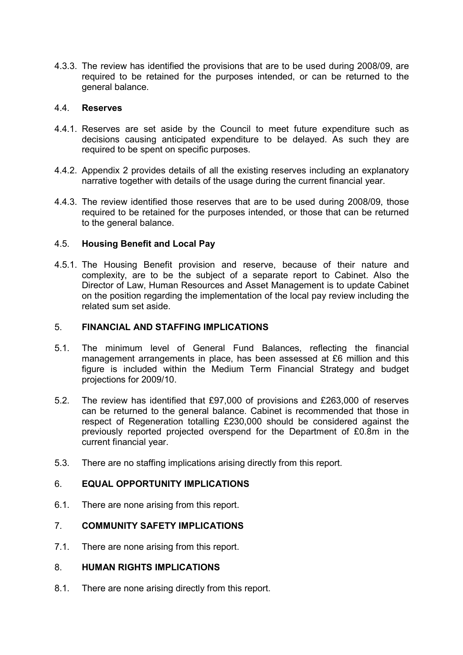4.3.3. The review has identified the provisions that are to be used during 2008/09, are required to be retained for the purposes intended, or can be returned to the general balance.

## 4.4. Reserves

- 4.4.1. Reserves are set aside by the Council to meet future expenditure such as decisions causing anticipated expenditure to be delayed. As such they are required to be spent on specific purposes.
- 4.4.2. Appendix 2 provides details of all the existing reserves including an explanatory narrative together with details of the usage during the current financial year.
- 4.4.3. The review identified those reserves that are to be used during 2008/09, those required to be retained for the purposes intended, or those that can be returned to the general balance.

## 4.5. Housing Benefit and Local Pay

4.5.1. The Housing Benefit provision and reserve, because of their nature and complexity, are to be the subject of a separate report to Cabinet. Also the Director of Law, Human Resources and Asset Management is to update Cabinet on the position regarding the implementation of the local pay review including the related sum set aside.

## 5. FINANCIAL AND STAFFING IMPLICATIONS

- 5.1. The minimum level of General Fund Balances, reflecting the financial management arrangements in place, has been assessed at £6 million and this figure is included within the Medium Term Financial Strategy and budget projections for 2009/10.
- 5.2. The review has identified that £97,000 of provisions and £263,000 of reserves can be returned to the general balance. Cabinet is recommended that those in respect of Regeneration totalling £230,000 should be considered against the previously reported projected overspend for the Department of £0.8m in the current financial year.
- 5.3. There are no staffing implications arising directly from this report.

## 6. EQUAL OPPORTUNITY IMPLICATIONS

6.1. There are none arising from this report.

# 7. COMMUNITY SAFETY IMPLICATIONS

7.1. There are none arising from this report.

# 8. HUMAN RIGHTS IMPLICATIONS

8.1. There are none arising directly from this report.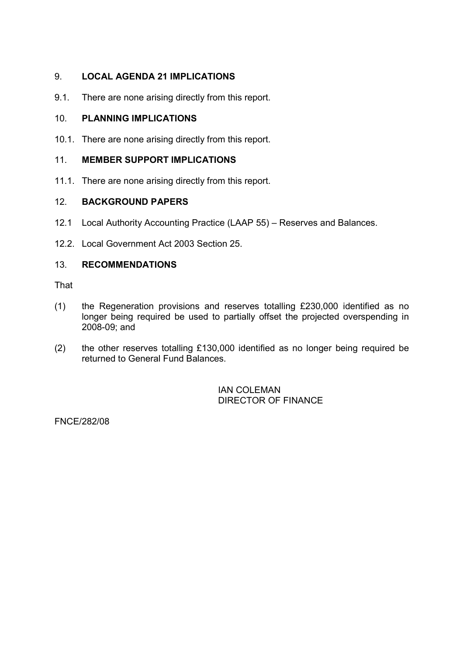# 9. LOCAL AGENDA 21 IMPLICATIONS

9.1. There are none arising directly from this report.

# 10. PLANNING IMPLICATIONS

10.1. There are none arising directly from this report.

# 11 MEMBER SUPPORT IMPLICATIONS

11.1. There are none arising directly from this report.

# 12. BACKGROUND PAPERS

- 12.1 Local Authority Accounting Practice (LAAP 55) Reserves and Balances.
- 12.2. Local Government Act 2003 Section 25.

# 13. RECOMMENDATIONS

That

- (1) the Regeneration provisions and reserves totalling £230,000 identified as no longer being required be used to partially offset the projected overspending in 2008-09; and
- (2) the other reserves totalling £130,000 identified as no longer being required be returned to General Fund Balances.

 IAN COLEMAN DIRECTOR OF FINANCE

FNCE/282/08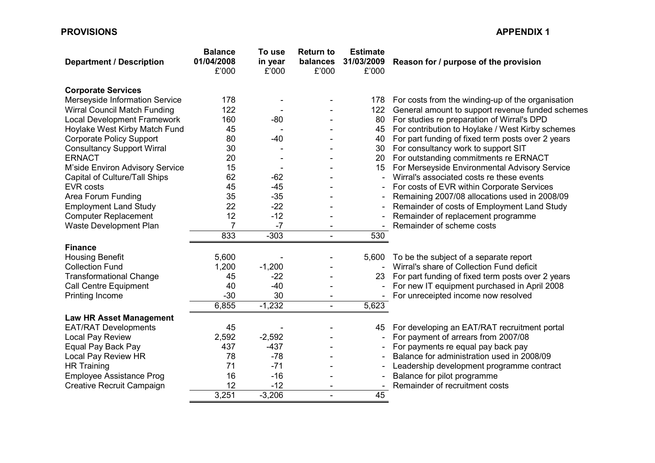| <b>Department / Description</b>    | <b>Balance</b><br>01/04/2008<br>£'000 | To use<br>in year<br>£'000 | <b>Return to</b><br>balances<br>£'000 | <b>Estimate</b><br>31/03/2009<br>£'000 | Reason for / purpose of the provision             |
|------------------------------------|---------------------------------------|----------------------------|---------------------------------------|----------------------------------------|---------------------------------------------------|
| <b>Corporate Services</b>          |                                       |                            |                                       |                                        |                                                   |
| Merseyside Information Service     | 178                                   |                            |                                       | 178                                    | For costs from the winding-up of the organisation |
| Wirral Council Match Funding       | 122                                   |                            |                                       | 122                                    | General amount to support revenue funded schemes  |
| <b>Local Development Framework</b> | 160                                   | $-80$                      |                                       | 80                                     | For studies re preparation of Wirral's DPD        |
| Hoylake West Kirby Match Fund      | 45                                    |                            |                                       | 45                                     | For contribution to Hoylake / West Kirby schemes  |
| <b>Corporate Policy Support</b>    | 80                                    | $-40$                      |                                       | 40                                     | For part funding of fixed term posts over 2 years |
| <b>Consultancy Support Wirral</b>  | 30                                    |                            |                                       | 30                                     | For consultancy work to support SIT               |
| <b>ERNACT</b>                      | 20                                    |                            |                                       | 20                                     | For outstanding commitments re ERNACT             |
| M'side Environ Advisory Service    | 15                                    |                            |                                       | 15                                     | For Merseyside Environmental Advisory Service     |
| Capital of Culture/Tall Ships      | 62                                    | $-62$                      |                                       |                                        | Wirral's associated costs re these events         |
| <b>EVR costs</b>                   | 45                                    | $-45$                      |                                       | $\overline{\phantom{a}}$               | For costs of EVR within Corporate Services        |
| Area Forum Funding                 | 35                                    | $-35$                      |                                       |                                        | Remaining 2007/08 allocations used in 2008/09     |
| <b>Employment Land Study</b>       | 22                                    | $-22$                      |                                       |                                        | Remainder of costs of Employment Land Study       |
| <b>Computer Replacement</b>        | 12                                    | $-12$                      |                                       | $\overline{a}$                         | Remainder of replacement programme                |
| Waste Development Plan             | $\overline{7}$                        | $-7$                       |                                       |                                        | Remainder of scheme costs                         |
|                                    | 833                                   | $-303$                     | $\overline{a}$                        | 530                                    |                                                   |
| <b>Finance</b>                     |                                       |                            |                                       |                                        |                                                   |
| <b>Housing Benefit</b>             | 5,600                                 |                            |                                       | 5,600                                  | To be the subject of a separate report            |
| <b>Collection Fund</b>             | 1,200                                 | $-1,200$                   |                                       |                                        | Wirral's share of Collection Fund deficit         |
| <b>Transformational Change</b>     | 45                                    | $-22$                      |                                       | 23                                     | For part funding of fixed term posts over 2 years |
| <b>Call Centre Equipment</b>       | 40                                    | $-40$                      |                                       |                                        | For new IT equipment purchased in April 2008      |
| Printing Income                    | $-30$                                 | 30                         |                                       |                                        | For unreceipted income now resolved               |
|                                    | 6,855                                 | $-1,232$                   | $\overline{a}$                        | 5,623                                  |                                                   |
| <b>Law HR Asset Management</b>     |                                       |                            |                                       |                                        |                                                   |
| <b>EAT/RAT Developments</b>        | 45                                    |                            |                                       | 45                                     | For developing an EAT/RAT recruitment portal      |
| Local Pay Review                   | 2,592                                 | $-2,592$                   |                                       |                                        | For payment of arrears from 2007/08               |
| Equal Pay Back Pay                 | 437                                   | $-437$                     |                                       |                                        | For payments re equal pay back pay                |
| Local Pay Review HR                | 78                                    | $-78$                      |                                       |                                        | Balance for administration used in 2008/09        |
| <b>HR Training</b>                 | 71                                    | $-71$                      |                                       |                                        | Leadership development programme contract         |
| <b>Employee Assistance Prog</b>    | 16                                    | $-16$                      |                                       | $\overline{a}$                         | Balance for pilot programme                       |
| Creative Recruit Campaign          | 12                                    | $-12$                      | $\overline{\phantom{a}}$              |                                        | Remainder of recruitment costs                    |
|                                    | 3,251                                 | $-3,206$                   |                                       | $\overline{45}$                        |                                                   |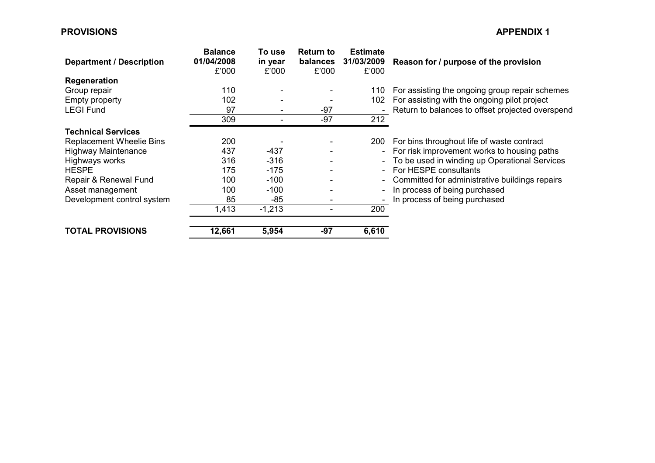# PROVISIONS APPENDIX 1

| <b>Department / Description</b> | <b>Balance</b><br>01/04/2008<br>£'000 | To use<br>in year<br>£'000 | <b>Return to</b><br>balances<br>£'000 | <b>Estimate</b><br>31/03/2009<br>£'000 | Reason for / purpose of the provision            |
|---------------------------------|---------------------------------------|----------------------------|---------------------------------------|----------------------------------------|--------------------------------------------------|
| Regeneration                    |                                       |                            |                                       |                                        |                                                  |
| Group repair                    | 110                                   |                            |                                       | 110                                    | For assisting the ongoing group repair schemes   |
| Empty property                  | 102                                   |                            |                                       | 102                                    | For assisting with the ongoing pilot project     |
| <b>LEGI Fund</b>                | 97                                    |                            | $-97$                                 |                                        | Return to balances to offset projected overspend |
|                                 | 309                                   |                            | $-97$                                 | 212                                    |                                                  |
| <b>Technical Services</b>       |                                       |                            |                                       |                                        |                                                  |
| <b>Replacement Wheelie Bins</b> | 200                                   |                            |                                       |                                        | 200 For bins throughout life of waste contract   |
| <b>Highway Maintenance</b>      | 437                                   | $-437$                     |                                       |                                        | - For risk improvement works to housing paths    |
| Highways works                  | 316                                   | $-316$                     |                                       |                                        | - To be used in winding up Operational Services  |
| <b>HESPE</b>                    | 175                                   | $-175$                     |                                       |                                        | - For HESPE consultants                          |
| Repair & Renewal Fund           | 100                                   | $-100$                     |                                       |                                        | - Committed for administrative buildings repairs |
| Asset management                | 100                                   | $-100$                     |                                       |                                        | In process of being purchased                    |
| Development control system      | 85                                    | -85                        |                                       |                                        | In process of being purchased                    |
|                                 | 1,413                                 | $-1,213$                   |                                       | 200                                    |                                                  |
|                                 |                                       |                            |                                       |                                        |                                                  |
| <b>TOTAL PROVISIONS</b>         | 12,661                                | 5,954                      | $-97$                                 | 6,610                                  |                                                  |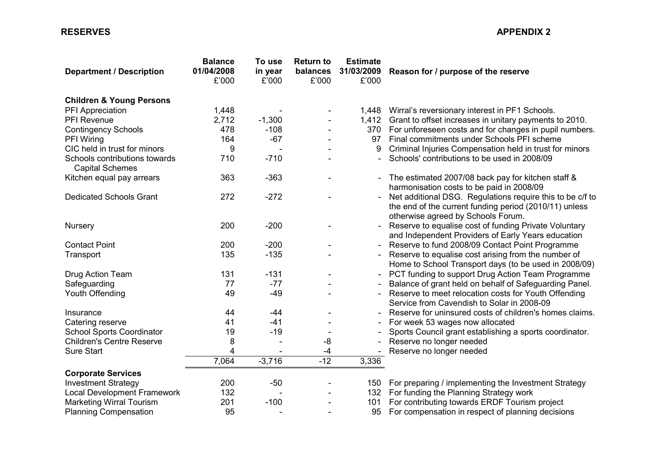| <b>Department / Description</b>                         | <b>Balance</b><br>01/04/2008<br>£'000 | To use<br>in year<br>£'000 | <b>Return to</b><br>balances<br>£'000 | <b>Estimate</b><br>31/03/2009<br>£'000 | Reason for / purpose of the reserve                                                             |
|---------------------------------------------------------|---------------------------------------|----------------------------|---------------------------------------|----------------------------------------|-------------------------------------------------------------------------------------------------|
| <b>Children &amp; Young Persons</b>                     |                                       |                            |                                       |                                        |                                                                                                 |
| <b>PFI Appreciation</b>                                 | 1,448                                 |                            |                                       |                                        | 1,448 Wirral's reversionary interest in PF1 Schools.                                            |
| <b>PFI Revenue</b>                                      | 2,712                                 | $-1,300$                   |                                       | 1,412                                  | Grant to offset increases in unitary payments to 2010.                                          |
| <b>Contingency Schools</b>                              | 478                                   | $-108$                     |                                       | 370                                    | For unforeseen costs and for changes in pupil numbers.                                          |
| <b>PFI Wiring</b>                                       | 164                                   | $-67$                      |                                       | 97                                     | Final commitments under Schools PFI scheme                                                      |
| CIC held in trust for minors                            | 9                                     |                            |                                       | 9                                      | Criminal Injuries Compensation held in trust for minors                                         |
| Schools contributions towards<br><b>Capital Schemes</b> | 710                                   | $-710$                     |                                       |                                        | Schools' contributions to be used in 2008/09                                                    |
| Kitchen equal pay arrears                               | 363                                   | $-363$                     |                                       | $\blacksquare$                         | The estimated 2007/08 back pay for kitchen staff &<br>harmonisation costs to be paid in 2008/09 |
| <b>Dedicated Schools Grant</b>                          | 272                                   | $-272$                     |                                       |                                        | Net additional DSG. Regulations require this to be c/f to                                       |
|                                                         |                                       |                            |                                       |                                        | the end of the current funding period (2010/11) unless<br>otherwise agreed by Schools Forum.    |
| Nursery                                                 | 200                                   | $-200$                     |                                       |                                        | Reserve to equalise cost of funding Private Voluntary                                           |
|                                                         |                                       |                            |                                       |                                        | and Independent Providers of Early Years education                                              |
| <b>Contact Point</b>                                    | 200                                   | $-200$                     |                                       |                                        | Reserve to fund 2008/09 Contact Point Programme                                                 |
| Transport                                               | 135                                   | $-135$                     |                                       |                                        | Reserve to equalise cost arising from the number of                                             |
|                                                         |                                       |                            |                                       |                                        | Home to School Transport days (to be used in 2008/09)                                           |
| Drug Action Team                                        | 131                                   | $-131$                     |                                       |                                        | PCT funding to support Drug Action Team Programme                                               |
| Safeguarding                                            | 77                                    | $-77$                      |                                       |                                        | Balance of grant held on behalf of Safeguarding Panel.                                          |
| Youth Offending                                         | 49                                    | $-49$                      |                                       |                                        | Reserve to meet relocation costs for Youth Offending                                            |
|                                                         |                                       |                            |                                       |                                        | Service from Cavendish to Solar in 2008-09                                                      |
| Insurance                                               | 44                                    | $-44$                      |                                       |                                        | Reserve for uninsured costs of children's homes claims.                                         |
| Catering reserve                                        | 41                                    | $-41$                      |                                       |                                        | For week 53 wages now allocated                                                                 |
| <b>School Sports Coordinator</b>                        | 19                                    | $-19$                      |                                       |                                        | Sports Council grant establishing a sports coordinator.                                         |
| <b>Children's Centre Reserve</b>                        | 8                                     |                            | -8                                    |                                        | Reserve no longer needed                                                                        |
| Sure Start                                              | $\overline{4}$                        |                            | -4                                    | $\blacksquare$                         | Reserve no longer needed                                                                        |
|                                                         | 7,064                                 | $-3,716$                   | $-12$                                 | 3,336                                  |                                                                                                 |
| <b>Corporate Services</b>                               |                                       |                            |                                       |                                        |                                                                                                 |
| <b>Investment Strategy</b>                              | 200                                   | $-50$                      |                                       | 150                                    | For preparing / implementing the Investment Strategy                                            |
| Local Development Framework                             | 132                                   |                            |                                       | 132                                    | For funding the Planning Strategy work                                                          |
| <b>Marketing Wirral Tourism</b>                         | 201                                   | $-100$                     |                                       | 101                                    | For contributing towards ERDF Tourism project                                                   |
| <b>Planning Compensation</b>                            | 95                                    |                            |                                       | 95                                     | For compensation in respect of planning decisions                                               |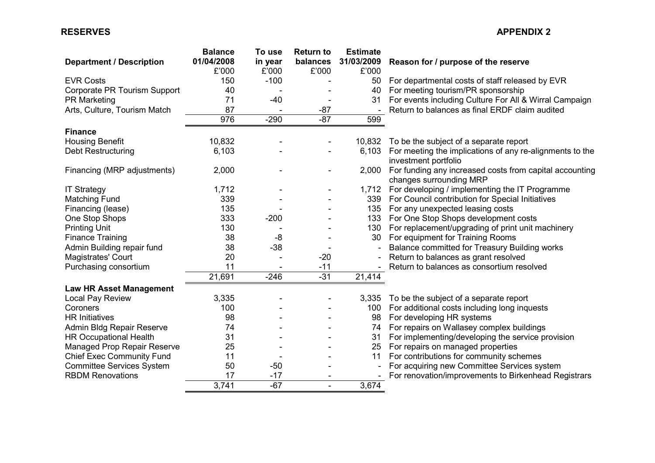# RESERVES APPENDIX 2

|                                  | <b>Balance</b> | To use  | <b>Return to</b>             | <b>Estimate</b> |                                                          |
|----------------------------------|----------------|---------|------------------------------|-----------------|----------------------------------------------------------|
| <b>Department / Description</b>  | 01/04/2008     | in year | balances                     | 31/03/2009      | Reason for / purpose of the reserve                      |
|                                  | £'000          | £'000   | £'000                        | £'000           |                                                          |
| <b>EVR Costs</b>                 | 150            | $-100$  |                              | 50              | For departmental costs of staff released by EVR          |
| Corporate PR Tourism Support     | 40             |         |                              | 40              | For meeting tourism/PR sponsorship                       |
| <b>PR Marketing</b>              | 71             | $-40$   |                              | 31              | For events including Culture For All & Wirral Campaign   |
| Arts, Culture, Tourism Match     | 87             |         | $-87$                        |                 | Return to balances as final ERDF claim audited           |
|                                  | 976            | $-290$  | $-87$                        | 599             |                                                          |
| <b>Finance</b>                   |                |         |                              |                 |                                                          |
| <b>Housing Benefit</b>           | 10,832         |         |                              |                 | 10,832 To be the subject of a separate report            |
| Debt Restructuring               | 6,103          |         |                              | 6,103           | For meeting the implications of any re-alignments to the |
|                                  |                |         |                              |                 | investment portfolio                                     |
| Financing (MRP adjustments)      | 2,000          |         | $\qquad \qquad \blacksquare$ | 2,000           | For funding any increased costs from capital accounting  |
|                                  |                |         |                              |                 | changes surrounding MRP                                  |
| <b>IT Strategy</b>               | 1,712          |         | $\overline{\phantom{a}}$     |                 | 1,712 For developing / implementing the IT Programme     |
| <b>Matching Fund</b>             | 339            |         |                              |                 | 339 For Council contribution for Special Initiatives     |
| Financing (lease)                | 135            |         |                              |                 | 135 For any unexpected leasing costs                     |
| One Stop Shops                   | 333            | $-200$  |                              | 133             | For One Stop Shops development costs                     |
| <b>Printing Unit</b>             | 130            |         |                              | 130             | For replacement/upgrading of print unit machinery        |
| <b>Finance Training</b>          | 38             | -8      |                              | 30              | For equipment for Training Rooms                         |
| Admin Building repair fund       | 38             | $-38$   |                              |                 | Balance committed for Treasury Building works            |
| Magistrates' Court               | 20             |         | $-20$                        |                 | Return to balances as grant resolved                     |
| Purchasing consortium            | 11             |         | $-11$                        |                 | Return to balances as consortium resolved                |
|                                  | 21,691         | $-246$  | $-31$                        | 21,414          |                                                          |
| <b>Law HR Asset Management</b>   |                |         |                              |                 |                                                          |
| Local Pay Review                 | 3,335          |         |                              | 3,335           | To be the subject of a separate report                   |
| Coroners                         | 100            |         |                              | 100             | For additional costs including long inquests             |
| <b>HR</b> Initiatives            | 98             |         |                              | 98              | For developing HR systems                                |
| Admin Bldg Repair Reserve        | 74             |         |                              | 74              | For repairs on Wallasey complex buildings                |
| <b>HR Occupational Health</b>    | 31             |         |                              | 31              | For implementing/developing the service provision        |
| Managed Prop Repair Reserve      | 25             |         |                              | 25              | For repairs on managed properties                        |
| <b>Chief Exec Community Fund</b> | 11             |         |                              | 11              | For contributions for community schemes                  |
| <b>Committee Services System</b> | 50             | $-50$   |                              |                 | For acquiring new Committee Services system              |
| <b>RBDM Renovations</b>          | 17             | $-17$   |                              |                 | For renovation/improvements to Birkenhead Registrars     |
|                                  | 3,741          | $-67$   |                              | 3,674           |                                                          |